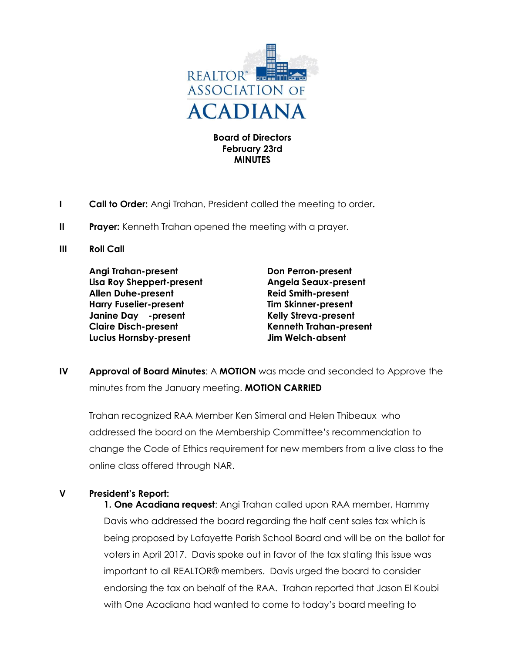

**Board of Directors February 23rd MINUTES**

- **I Call to Order:** Angi Trahan, President called the meeting to order**.**
- **II Prayer:** Kenneth Trahan opened the meeting with a prayer.
- **III Roll Call**

**Angi Trahan-present Don Perron-present Lisa Roy Sheppert-present Angela Seaux-present Allen Duhe-present Reid Smith-present Harry Fuselier-present Tim Skinner-present Janine Day -present Kelly Streva-present Claire Disch-present Kenneth Trahan-present Lucius Hornsby-present Jim Welch-absent**

**IV Approval of Board Minutes**: A **MOTION** was made and seconded to Approve the minutes from the January meeting. **MOTION CARRIED**

Trahan recognized RAA Member Ken Simeral and Helen Thibeaux who addressed the board on the Membership Committee's recommendation to change the Code of Ethics requirement for new members from a live class to the online class offered through NAR.

## **V President's Report:**

**1. One Acadiana request**: Angi Trahan called upon RAA member, Hammy Davis who addressed the board regarding the half cent sales tax which is being proposed by Lafayette Parish School Board and will be on the ballot for voters in April 2017. Davis spoke out in favor of the tax stating this issue was important to all REALTOR® members. Davis urged the board to consider endorsing the tax on behalf of the RAA. Trahan reported that Jason El Koubi with One Acadiana had wanted to come to today's board meeting to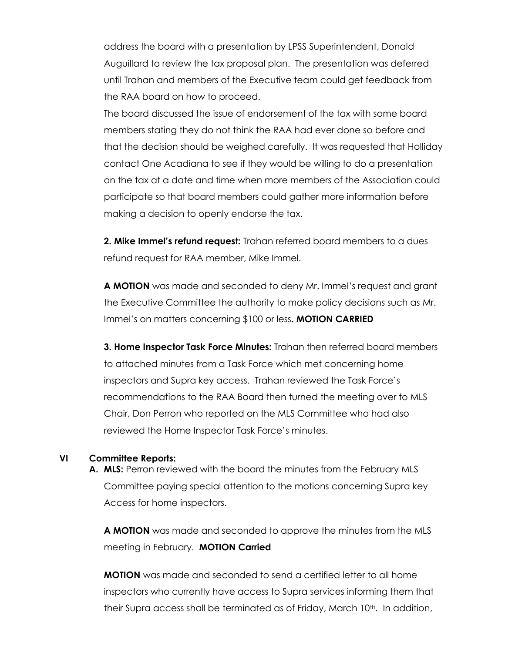address the board with a presentation by LPSS Superintendent, Donald Auguillard to review the tax proposal plan. The presentation was deferred until Trahan and members of the Executive team could get feedback from the RAA board on how to proceed.

The board discussed the issue of endorsement of the tax with some board members stating they do not think the RAA had ever done so before and that the decision should be weighed carefully. It was requested that Holliday contact One Acadiana to see if they would be willing to do a presentation on the tax at a date and time when more members of the Association could participate so that board members could gather more information before making a decision to openly endorse the tax.

**2. Mike Immel's refund request:** Trahan referred board members to a dues refund request for RAA member, Mike Immel.

**A MOTION** was made and seconded to deny Mr. Immel's request and grant the Executive Committee the authority to make policy decisions such as Mr. Immel's on matters concerning \$100 or less**. MOTION CARRIED**

**3. Home Inspector Task Force Minutes:** Trahan then referred board members to attached minutes from a Task Force which met concerning home inspectors and Supra key access. Trahan reviewed the Task Force's recommendations to the RAA Board then turned the meeting over to MLS Chair, Don Perron who reported on the MLS Committee who had also reviewed the Home Inspector Task Force's minutes.

## **VI Committee Reports:**

**A. MLS:** Perron reviewed with the board the minutes from the February MLS Committee paying special attention to the motions concerning Supra key Access for home inspectors.

**A MOTION** was made and seconded to approve the minutes from the MLS meeting in February. **MOTION Carried**

**MOTION** was made and seconded to send a certified letter to all home inspectors who currently have access to Supra services informing them that their Supra access shall be terminated as of Friday, March 10<sup>th</sup>. In addition,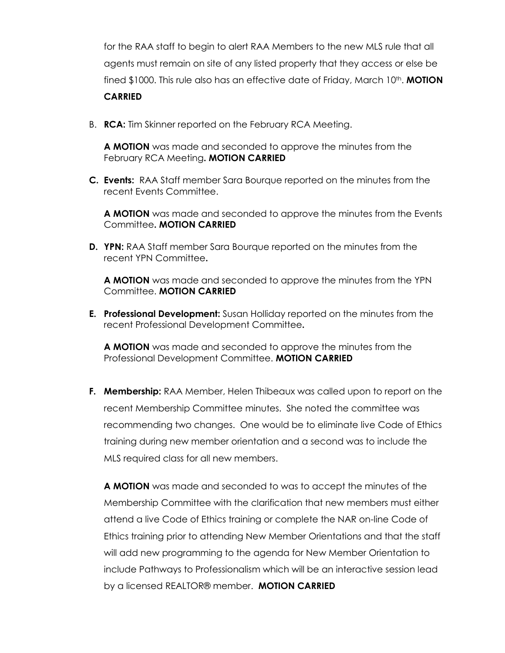for the RAA staff to begin to alert RAA Members to the new MLS rule that all agents must remain on site of any listed property that they access or else be fined \$1000. This rule also has an effective date of Friday, March 10<sup>th</sup>. **MOTION** 

## **CARRIED**

B. **RCA:** Tim Skinner reported on the February RCA Meeting.

**A MOTION** was made and seconded to approve the minutes from the February RCA Meeting**. MOTION CARRIED**

**C. Events:** RAA Staff member Sara Bourque reported on the minutes from the recent Events Committee.

**A MOTION** was made and seconded to approve the minutes from the Events Committee**. MOTION CARRIED**

**D. YPN:** RAA Staff member Sara Bourque reported on the minutes from the recent YPN Committee**.** 

**A MOTION** was made and seconded to approve the minutes from the YPN Committee. **MOTION CARRIED**

**E. Professional Development:** Susan Holliday reported on the minutes from the recent Professional Development Committee**.** 

**A MOTION** was made and seconded to approve the minutes from the Professional Development Committee. **MOTION CARRIED**

**F. Membership:** RAA Member, Helen Thibeaux was called upon to report on the recent Membership Committee minutes. She noted the committee was recommending two changes. One would be to eliminate live Code of Ethics training during new member orientation and a second was to include the MLS required class for all new members.

**A MOTION** was made and seconded to was to accept the minutes of the Membership Committee with the clarification that new members must either attend a live Code of Ethics training or complete the NAR on-line Code of Ethics training prior to attending New Member Orientations and that the staff will add new programming to the agenda for New Member Orientation to include Pathways to Professionalism which will be an interactive session lead by a licensed REALTOR® member. **MOTION CARRIED**